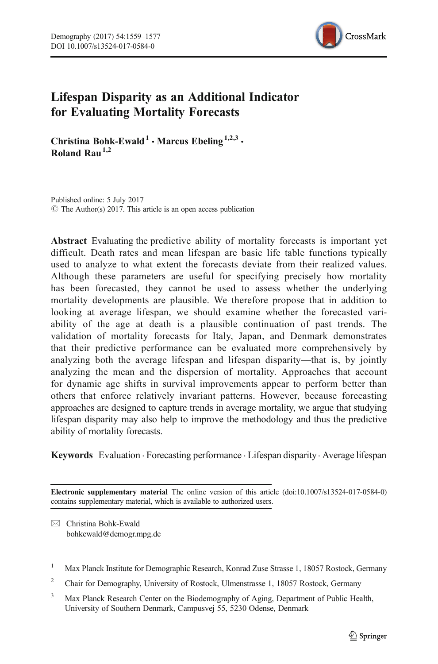

# Lifespan Disparity as an Additional Indicator for Evaluating Mortality Forecasts

Christina Bohk-Ewald<sup>1</sup>  $\cdot$  Marcus Ebeling<sup>1,2,3</sup>  $\cdot$ Roland Rau $<sup>1,2</sup>$ </sup>

Published online: 5 July 2017  $\circ$  The Author(s) 2017. This article is an open access publication

Abstract Evaluating the predictive ability of mortality forecasts is important yet difficult. Death rates and mean lifespan are basic life table functions typically used to analyze to what extent the forecasts deviate from their realized values. Although these parameters are useful for specifying precisely how mortality has been forecasted, they cannot be used to assess whether the underlying mortality developments are plausible. We therefore propose that in addition to looking at average lifespan, we should examine whether the forecasted variability of the age at death is a plausible continuation of past trends. The validation of mortality forecasts for Italy, Japan, and Denmark demonstrates that their predictive performance can be evaluated more comprehensively by analyzing both the average lifespan and lifespan disparity—that is, by jointly analyzing the mean and the dispersion of mortality. Approaches that account for dynamic age shifts in survival improvements appear to perform better than others that enforce relatively invariant patterns. However, because forecasting approaches are designed to capture trends in average mortality, we argue that studying lifespan disparity may also help to improve the methodology and thus the predictive ability of mortality forecasts.

**Keywords** Evaluation  $\cdot$  Forecasting performance  $\cdot$  Lifespan disparity  $\cdot$  Average lifespan

Electronic supplementary material The online version of this article (doi:[10.1007/s13524-017-0584-0\)](http://dx.doi.org/10.1007/s13524-017-0584-0) contains supplementary material, which is available to authorized users.

 $\boxtimes$  Christina Bohk-Ewald bohkewald@demogr.mpg.de

- <sup>1</sup> Max Planck Institute for Demographic Research, Konrad Zuse Strasse 1, 18057 Rostock, Germany
- <sup>2</sup> Chair for Demography, University of Rostock, Ulmenstrasse 1, 18057 Rostock, Germany
- <sup>3</sup> Max Planck Research Center on the Biodemography of Aging, Department of Public Health, University of Southern Denmark, Campusvej 55, 5230 Odense, Denmark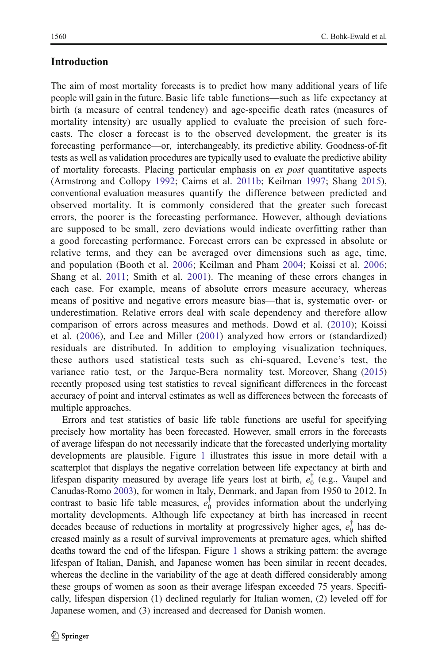### Introduction

The aim of most mortality forecasts is to predict how many additional years of life people will gain in the future. Basic life table functions—such as life expectancy at birth (a measure of central tendency) and age-specific death rates (measures of mortality intensity) are usually applied to evaluate the precision of such forecasts. The closer a forecast is to the observed development, the greater is its forecasting performance—or, interchangeably, its predictive ability. Goodness-of-fit tests as well as validation procedures are typically used to evaluate the predictive ability of mortality forecasts. Placing particular emphasis on ex post quantitative aspects (Armstrong and Collopy [1992;](#page-16-0) Cairns et al. [2011b;](#page-16-0) Keilman [1997;](#page-17-0) Shang [2015\)](#page-17-0), conventional evaluation measures quantify the difference between predicted and observed mortality. It is commonly considered that the greater such forecast errors, the poorer is the forecasting performance. However, although deviations are supposed to be small, zero deviations would indicate overfitting rather than a good forecasting performance. Forecast errors can be expressed in absolute or relative terms, and they can be averaged over dimensions such as age, time, and population (Booth et al. [2006;](#page-16-0) Keilman and Pham [2004](#page-17-0); Koissi et al. [2006;](#page-17-0) Shang et al. [2011;](#page-18-0) Smith et al. [2001](#page-18-0)). The meaning of these errors changes in each case. For example, means of absolute errors measure accuracy, whereas means of positive and negative errors measure bias—that is, systematic over- or underestimation. Relative errors deal with scale dependency and therefore allow comparison of errors across measures and methods. Dowd et al. ([2010](#page-16-0)); Koissi et al. ([2006](#page-17-0)), and Lee and Miller [\(2001\)](#page-17-0) analyzed how errors or (standardized) residuals are distributed. In addition to employing visualization techniques, these authors used statistical tests such as chi-squared, Levene's test, the variance ratio test, or the Jarque-Bera normality test. Moreover, Shang ([2015](#page-17-0)) recently proposed using test statistics to reveal significant differences in the forecast accuracy of point and interval estimates as well as differences between the forecasts of multiple approaches.

Errors and test statistics of basic life table functions are useful for specifying precisely how mortality has been forecasted. However, small errors in the forecasts of average lifespan do not necessarily indicate that the forecasted underlying mortality developments are plausible. Figure [1](#page-2-0) illustrates this issue in more detail with a scatterplot that displays the negative correlation between life expectancy at birth and lifespan disparity measured by average life years lost at birth,  $e_0^{\dagger}$  (e.g., Vaupel and Canudas-Romo [2003\)](#page-18-0), for women in Italy, Denmark, and Japan from 1950 to 2012. In contrast to basic life table measures,  $e_0^{\dagger}$  provides information about the underlying mortality developments. Although life expectancy at birth has increased in recent decades because of reductions in mortality at progressively higher ages,  $e_0^{\dagger}$  has decreased mainly as a result of survival improvements at premature ages, which shifted deaths toward the end of the lifespan. Figure [1](#page-2-0) shows a striking pattern: the average lifespan of Italian, Danish, and Japanese women has been similar in recent decades, whereas the decline in the variability of the age at death differed considerably among these groups of women as soon as their average lifespan exceeded 75 years. Specifically, lifespan dispersion (1) declined regularly for Italian women, (2) leveled off for Japanese women, and (3) increased and decreased for Danish women.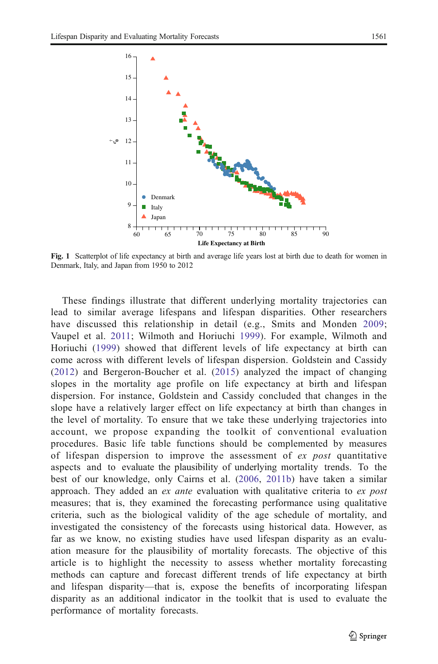<span id="page-2-0"></span>

Fig. 1 Scatterplot of life expectancy at birth and average life years lost at birth due to death for women in Denmark, Italy, and Japan from 1950 to 2012

These findings illustrate that different underlying mortality trajectories can lead to similar average lifespans and lifespan disparities. Other researchers have discussed this relationship in detail (e.g., Smits and Monden [2009;](#page-18-0) Vaupel et al. [2011;](#page-18-0) Wilmoth and Horiuchi [1999](#page-18-0)). For example, Wilmoth and Horiuchi [\(1999\)](#page-18-0) showed that different levels of life expectancy at birth can come across with different levels of lifespan dispersion. Goldstein and Cassidy [\(2012](#page-17-0)) and Bergeron-Boucher et al. ([2015\)](#page-16-0) analyzed the impact of changing slopes in the mortality age profile on life expectancy at birth and lifespan dispersion. For instance, Goldstein and Cassidy concluded that changes in the slope have a relatively larger effect on life expectancy at birth than changes in the level of mortality. To ensure that we take these underlying trajectories into account, we propose expanding the toolkit of conventional evaluation procedures. Basic life table functions should be complemented by measures of lifespan dispersion to improve the assessment of ex post quantitative aspects and to evaluate the plausibility of underlying mortality trends. To the best of our knowledge, only Cairns et al. ([2006,](#page-16-0) [2011b](#page-16-0)) have taken a similar approach. They added an ex ante evaluation with qualitative criteria to ex post measures; that is, they examined the forecasting performance using qualitative criteria, such as the biological validity of the age schedule of mortality, and investigated the consistency of the forecasts using historical data. However, as far as we know, no existing studies have used lifespan disparity as an evaluation measure for the plausibility of mortality forecasts. The objective of this article is to highlight the necessity to assess whether mortality forecasting methods can capture and forecast different trends of life expectancy at birth and lifespan disparity—that is, expose the benefits of incorporating lifespan disparity as an additional indicator in the toolkit that is used to evaluate the performance of mortality forecasts.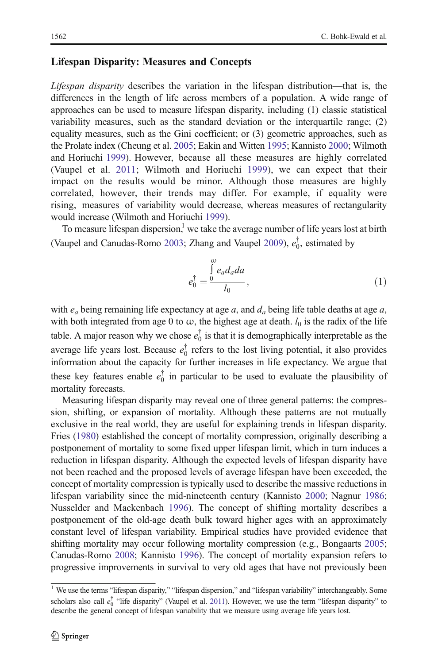#### Lifespan Disparity: Measures and Concepts

Lifespan disparity describes the variation in the lifespan distribution—that is, the differences in the length of life across members of a population. A wide range of approaches can be used to measure lifespan disparity, including (1) classic statistical variability measures, such as the standard deviation or the interquartile range; (2) equality measures, such as the Gini coefficient; or (3) geometric approaches, such as the Prolate index (Cheung et al. [2005](#page-16-0); Eakin and Witten [1995;](#page-16-0) Kannisto [2000](#page-17-0); Wilmoth and Horiuchi [1999](#page-18-0)). However, because all these measures are highly correlated (Vaupel et al. [2011;](#page-18-0) Wilmoth and Horiuchi [1999](#page-18-0)), we can expect that their impact on the results would be minor. Although those measures are highly correlated, however, their trends may differ. For example, if equality were rising, measures of variability would decrease, whereas measures of rectangularity would increase (Wilmoth and Horiuchi [1999](#page-18-0)).

To measure lifespan dispersion,<sup>1</sup> we take the average number of life years lost at birth (Vaupel and Canudas-Romo [2003](#page-18-0); Zhang and Vaupel [2009](#page-18-0)),  $e_0^{\dagger}$ , estimated by

$$
e_0^{\dagger} = \frac{\int_{0}^{\infty} e_a d_a da}{l_0}, \tag{1}
$$

with  $e_a$  being remaining life expectancy at age a, and  $d_a$  being life table deaths at age a, with both integrated from age 0 to  $\omega$ , the highest age at death.  $l_0$  is the radix of the life table. A major reason why we chose  $e_0^{\dagger}$  is that it is demographically interpretable as the average life years lost. Because  $e_0^{\dagger}$  refers to the lost living potential, it also provides information about the capacity for further increases in life expectancy. We argue that these key features enable  $e_0^{\dagger}$  in particular to be used to evaluate the plausibility of mortality forecasts.

Measuring lifespan disparity may reveal one of three general patterns: the compression, shifting, or expansion of mortality. Although these patterns are not mutually exclusive in the real world, they are useful for explaining trends in lifespan disparity. Fries [\(1980\)](#page-16-0) established the concept of mortality compression, originally describing a postponement of mortality to some fixed upper lifespan limit, which in turn induces a reduction in lifespan disparity. Although the expected levels of lifespan disparity have not been reached and the proposed levels of average lifespan have been exceeded, the concept of mortality compression is typically used to describe the massive reductions in lifespan variability since the mid-nineteenth century (Kannisto [2000](#page-17-0); Nagnur [1986;](#page-17-0) Nusselder and Mackenbach [1996](#page-17-0)). The concept of shifting mortality describes a postponement of the old-age death bulk toward higher ages with an approximately constant level of lifespan variability. Empirical studies have provided evidence that shifting mortality may occur following mortality compression (e.g., Bongaarts [2005;](#page-16-0) Canudas-Romo [2008;](#page-16-0) Kannisto [1996\)](#page-17-0). The concept of mortality expansion refers to progressive improvements in survival to very old ages that have not previously been

<sup>&</sup>lt;sup>1</sup> We use the terms "lifespan disparity," "lifespan dispersion," and "lifespan variability" interchangeably. Some scholars also call  $e_0^{\dagger}$  "life disparity" (Vaupel et al. [2011](#page-18-0)). However, we use the term "lifespan disparity" to describe the general concept of lifespan variability that we measure using average life years lost.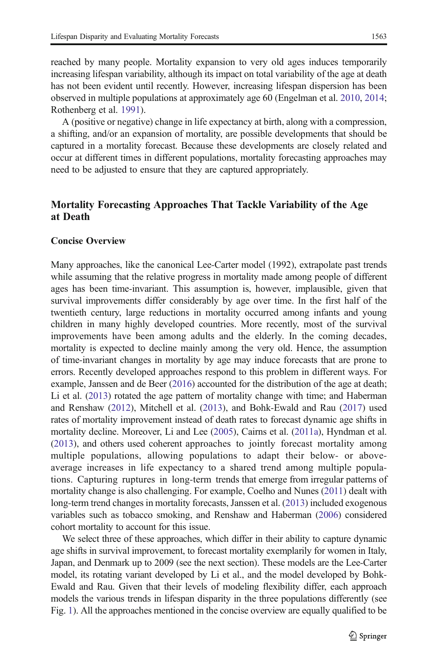reached by many people. Mortality expansion to very old ages induces temporarily increasing lifespan variability, although its impact on total variability of the age at death has not been evident until recently. However, increasing lifespan dispersion has been observed in multiple populations at approximately age 60 (Engelman et al. [2010](#page-16-0), [2014;](#page-16-0) Rothenberg et al. [1991\)](#page-17-0).

A (positive or negative) change in life expectancy at birth, along with a compression, a shifting, and/or an expansion of mortality, are possible developments that should be captured in a mortality forecast. Because these developments are closely related and occur at different times in different populations, mortality forecasting approaches may need to be adjusted to ensure that they are captured appropriately.

## Mortality Forecasting Approaches That Tackle Variability of the Age at Death

#### Concise Overview

Many approaches, like the canonical Lee-Carter model (1992), extrapolate past trends while assuming that the relative progress in mortality made among people of different ages has been time-invariant. This assumption is, however, implausible, given that survival improvements differ considerably by age over time. In the first half of the twentieth century, large reductions in mortality occurred among infants and young children in many highly developed countries. More recently, most of the survival improvements have been among adults and the elderly. In the coming decades, mortality is expected to decline mainly among the very old. Hence, the assumption of time-invariant changes in mortality by age may induce forecasts that are prone to errors. Recently developed approaches respond to this problem in different ways. For example, Janssen and de Beer ([2016](#page-17-0)) accounted for the distribution of the age at death; Li et al. ([2013](#page-17-0)) rotated the age pattern of mortality change with time; and Haberman and Renshaw ([2012](#page-17-0)), Mitchell et al. ([2013](#page-17-0)), and Bohk-Ewald and Rau [\(2017\)](#page-16-0) used rates of mortality improvement instead of death rates to forecast dynamic age shifts in mortality decline. Moreover, Li and Lee [\(2005](#page-17-0)), Cairns et al. ([2011a](#page-16-0)), Hyndman et al. [\(2013\)](#page-17-0), and others used coherent approaches to jointly forecast mortality among multiple populations, allowing populations to adapt their below- or aboveaverage increases in life expectancy to a shared trend among multiple populations. Capturing ruptures in long-term trends that emerge from irregular patterns of mortality change is also challenging. For example, Coelho and Nunes [\(2011\)](#page-16-0) dealt with long-term trend changes in mortality forecasts, Janssen et al. ([2013](#page-17-0)) included exogenous variables such as tobacco smoking, and Renshaw and Haberman ([2006](#page-17-0)) considered cohort mortality to account for this issue.

We select three of these approaches, which differ in their ability to capture dynamic age shifts in survival improvement, to forecast mortality exemplarily for women in Italy, Japan, and Denmark up to 2009 (see the next section). These models are the Lee-Carter model, its rotating variant developed by Li et al., and the model developed by Bohk-Ewald and Rau. Given that their levels of modeling flexibility differ, each approach models the various trends in lifespan disparity in the three populations differently (see Fig. [1](#page-2-0)). All the approaches mentioned in the concise overview are equally qualified to be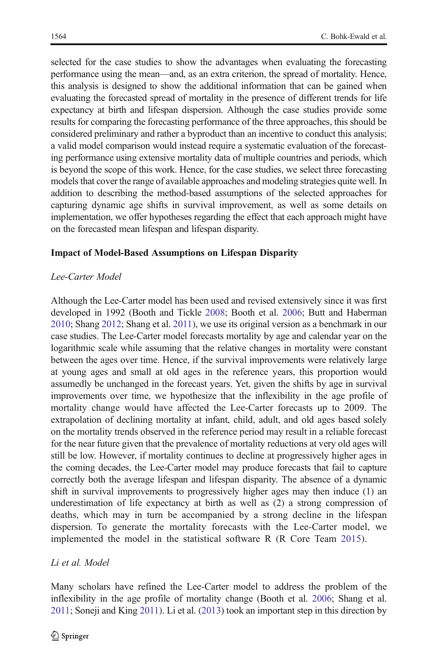selected for the case studies to show the advantages when evaluating the forecasting performance using the mean—and, as an extra criterion, the spread of mortality. Hence, this analysis is designed to show the additional information that can be gained when evaluating the forecasted spread of mortality in the presence of different trends for life expectancy at birth and lifespan dispersion. Although the case studies provide some results for comparing the forecasting performance of the three approaches, this should be considered preliminary and rather a byproduct than an incentive to conduct this analysis; a valid model comparison would instead require a systematic evaluation of the forecasting performance using extensive mortality data of multiple countries and periods, which is beyond the scope of this work. Hence, for the case studies, we select three forecasting models that cover the range of available approaches and modeling strategies quite well. In addition to describing the method-based assumptions of the selected approaches for capturing dynamic age shifts in survival improvement, as well as some details on implementation, we offer hypotheses regarding the effect that each approach might have on the forecasted mean lifespan and lifespan disparity.

### Impact of Model-Based Assumptions on Lifespan Disparity

### Lee-Carter Model

Although the Lee-Carter model has been used and revised extensively since it was first developed in 1992 (Booth and Tickle [2008;](#page-16-0) Booth et al. [2006](#page-16-0); Butt and Haberman [2010;](#page-16-0) Shang [2012;](#page-17-0) Shang et al. [2011\)](#page-18-0), we use its original version as a benchmark in our case studies. The Lee-Carter model forecasts mortality by age and calendar year on the logarithmic scale while assuming that the relative changes in mortality were constant between the ages over time. Hence, if the survival improvements were relatively large at young ages and small at old ages in the reference years, this proportion would assumedly be unchanged in the forecast years. Yet, given the shifts by age in survival improvements over time, we hypothesize that the inflexibility in the age profile of mortality change would have affected the Lee-Carter forecasts up to 2009. The extrapolation of declining mortality at infant, child, adult, and old ages based solely on the mortality trends observed in the reference period may result in a reliable forecast for the near future given that the prevalence of mortality reductions at very old ages will still be low. However, if mortality continues to decline at progressively higher ages in the coming decades, the Lee-Carter model may produce forecasts that fail to capture correctly both the average lifespan and lifespan disparity. The absence of a dynamic shift in survival improvements to progressively higher ages may then induce (1) an underestimation of life expectancy at birth as well as (2) a strong compression of deaths, which may in turn be accompanied by a strong decline in the lifespan dispersion. To generate the mortality forecasts with the Lee-Carter model, we implemented the model in the statistical software R (R Core Team [2015\)](#page-17-0).

### Li et al. Model

Many scholars have refined the Lee-Carter model to address the problem of the inflexibility in the age profile of mortality change (Booth et al. [2006;](#page-16-0) Shang et al. [2011](#page-18-0); Soneji and King [2011\)](#page-18-0). Li et al. [\(2013\)](#page-17-0) took an important step in this direction by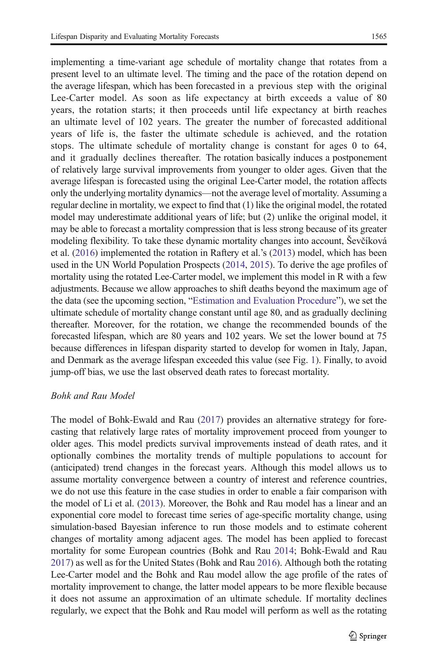implementing a time-variant age schedule of mortality change that rotates from a present level to an ultimate level. The timing and the pace of the rotation depend on the average lifespan, which has been forecasted in a previous step with the original Lee-Carter model. As soon as life expectancy at birth exceeds a value of 80 years, the rotation starts; it then proceeds until life expectancy at birth reaches an ultimate level of 102 years. The greater the number of forecasted additional years of life is, the faster the ultimate schedule is achieved, and the rotation stops. The ultimate schedule of mortality change is constant for ages 0 to 64, and it gradually declines thereafter. The rotation basically induces a postponement of relatively large survival improvements from younger to older ages. Given that the average lifespan is forecasted using the original Lee-Carter model, the rotation affects only the underlying mortality dynamics—not the average level of mortality. Assuming a regular decline in mortality, we expect to find that (1) like the original model, the rotated model may underestimate additional years of life; but (2) unlike the original model, it may be able to forecast a mortality compression that is less strong because of its greater modeling flexibility. To take these dynamic mortality changes into account, Ševčíková et al. ([2016](#page-17-0)) implemented the rotation in Raftery et al.'s [\(2013\)](#page-17-0) model, which has been used in the UN World Population Prospects [\(2014](#page-18-0), [2015\)](#page-18-0). To derive the age profiles of mortality using the rotated Lee-Carter model, we implement this model in R with a few adjustments. Because we allow approaches to shift deaths beyond the maximum age of the data (see the upcoming section, "[Estimation and Evaluation Procedure](#page-7-0)"), we set the ultimate schedule of mortality change constant until age 80, and as gradually declining thereafter. Moreover, for the rotation, we change the recommended bounds of the forecasted lifespan, which are 80 years and 102 years. We set the lower bound at 75 because differences in lifespan disparity started to develop for women in Italy, Japan, and Denmark as the average lifespan exceeded this value (see Fig. [1\)](#page-2-0). Finally, to avoid jump-off bias, we use the last observed death rates to forecast mortality.

#### Bohk and Rau Model

The model of Bohk-Ewald and Rau [\(2017](#page-16-0)) provides an alternative strategy for forecasting that relatively large rates of mortality improvement proceed from younger to older ages. This model predicts survival improvements instead of death rates, and it optionally combines the mortality trends of multiple populations to account for (anticipated) trend changes in the forecast years. Although this model allows us to assume mortality convergence between a country of interest and reference countries, we do not use this feature in the case studies in order to enable a fair comparison with the model of Li et al. ([2013](#page-17-0)). Moreover, the Bohk and Rau model has a linear and an exponential core model to forecast time series of age-specific mortality change, using simulation-based Bayesian inference to run those models and to estimate coherent changes of mortality among adjacent ages. The model has been applied to forecast mortality for some European countries (Bohk and Rau [2014](#page-16-0); Bohk-Ewald and Rau [2017\)](#page-16-0) as well as for the United States (Bohk and Rau [2016\)](#page-16-0). Although both the rotating Lee-Carter model and the Bohk and Rau model allow the age profile of the rates of mortality improvement to change, the latter model appears to be more flexible because it does not assume an approximation of an ultimate schedule. If mortality declines regularly, we expect that the Bohk and Rau model will perform as well as the rotating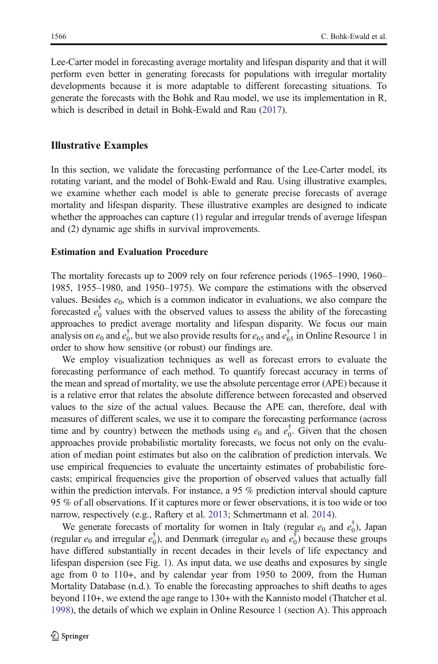<span id="page-7-0"></span>Lee-Carter model in forecasting average mortality and lifespan disparity and that it will perform even better in generating forecasts for populations with irregular mortality developments because it is more adaptable to different forecasting situations. To generate the forecasts with the Bohk and Rau model, we use its implementation in R, which is described in detail in Bohk-Ewald and Rau [\(2017\)](#page-16-0).

# Illustrative Examples

In this section, we validate the forecasting performance of the Lee-Carter model, its rotating variant, and the model of Bohk-Ewald and Rau. Using illustrative examples, we examine whether each model is able to generate precise forecasts of average mortality and lifespan disparity. These illustrative examples are designed to indicate whether the approaches can capture  $(1)$  regular and irregular trends of average lifespan and (2) dynamic age shifts in survival improvements.

### Estimation and Evaluation Procedure

The mortality forecasts up to 2009 rely on four reference periods (1965–1990, 1960– 1985, 1955–1980, and 1950–1975). We compare the estimations with the observed values. Besides  $e_0$ , which is a common indicator in evaluations, we also compare the forecasted  $e_0^{\dagger}$  values with the observed values to assess the ability of the forecasting approaches to predict average mortality and lifespan disparity. We focus our main analysis on  $e_0$  and  $e_0^{\dagger}$ , but we also provide results for  $e_{65}$  and  $e_{65}^{\dagger}$  in Online Resource 1 in order to show how sensitive (or robust) our findings are.

We employ visualization techniques as well as forecast errors to evaluate the forecasting performance of each method. To quantify forecast accuracy in terms of the mean and spread of mortality, we use the absolute percentage error (APE) because it is a relative error that relates the absolute difference between forecasted and observed values to the size of the actual values. Because the APE can, therefore, deal with measures of different scales, we use it to compare the forecasting performance (across time and by country) between the methods using  $e_0$  and  $e_0^{\dagger}$ . Given that the chosen approaches provide probabilistic mortality forecasts, we focus not only on the evaluation of median point estimates but also on the calibration of prediction intervals. We use empirical frequencies to evaluate the uncertainty estimates of probabilistic forecasts; empirical frequencies give the proportion of observed values that actually fall within the prediction intervals. For instance, a 95 % prediction interval should capture 95 % of all observations. If it captures more or fewer observations, it is too wide or too narrow, respectively (e.g., Raftery et al. [2013;](#page-17-0) Schmertmann et al. [2014\)](#page-17-0).

We generate forecasts of mortality for women in Italy (regular  $e_0$  and  $e_0^{\dagger}$ ), Japan (regular  $e_0$  and irregular  $e_0^{\dagger}$ ), and Denmark (irregular  $e_0$  and  $e_0^{\dagger}$ ) because these groups have differed substantially in recent decades in their levels of life expectancy and lifespan dispersion (see Fig. [1\)](#page-2-0). As input data, we use deaths and exposures by single age from 0 to 110+, and by calendar year from 1950 to 2009, from the Human Mortality Database (n.d.). To enable the forecasting approaches to shift deaths to ages beyond 110+, we extend the age range to 130+ with the Kannisto model (Thatcher et al. [1998\)](#page-18-0), the details of which we explain in Online Resource 1 (section A). This approach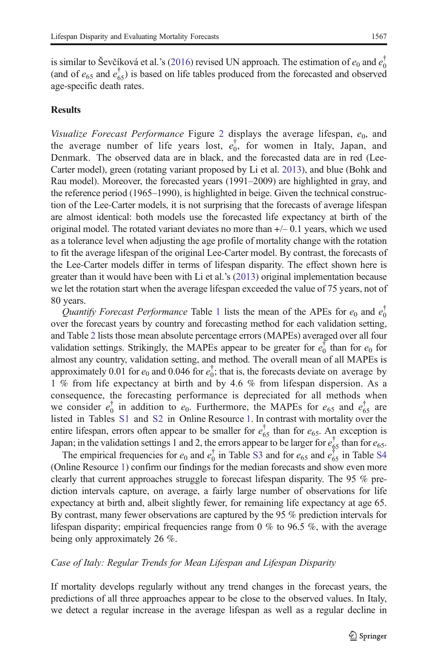is similar to Ševčíková et al.'s [\(2016\)](#page-17-0) revised UN approach. The estimation of  $e_0$  and  $e_0^{\dagger}$ (and of  $e_{65}$  and  $e_{65}^{\dagger}$ ) is based on life tables produced from the forecasted and observed age-specific death rates.

#### **Results**

Visualize Forecast Performance Figure [2](#page-9-0) displays the average lifespan,  $e_0$ , and the average number of life years lost,  $e_0^{\dagger}$ , for women in Italy, Japan, and Denmark. The observed data are in black, and the forecasted data are in red (Lee-Carter model), green (rotating variant proposed by Li et al. [2013\)](#page-17-0), and blue (Bohk and Rau model). Moreover, the forecasted years (1991–2009) are highlighted in gray, and the reference period (1965–1990), is highlighted in beige. Given the technical construction of the Lee-Carter models, it is not surprising that the forecasts of average lifespan are almost identical: both models use the forecasted life expectancy at birth of the original model. The rotated variant deviates no more than  $+/-0.1$  years, which we used as a tolerance level when adjusting the age profile of mortality change with the rotation to fit the average lifespan of the original Lee-Carter model. By contrast, the forecasts of the Lee-Carter models differ in terms of lifespan disparity. The effect shown here is greater than it would have been with Li et al.'s [\(2013\)](#page-17-0) original implementation because we let the rotation start when the average lifespan exceeded the value of 75 years, not of 80 years.

*Quantify Forecast Performance* Table [1](#page-10-0) lists the mean of the APEs for  $e_0$  and  $e_0^{\dagger}$ over the forecast years by country and forecasting method for each validation setting, and Table [2](#page-11-0) lists those mean absolute percentage errors (MAPEs) averaged over all four validation settings. Strikingly, the MAPEs appear to be greater for  $e_0^{\dagger}$  than for  $e_0$  for almost any country, validation setting, and method. The overall mean of all MAPEs is approximately 0.01 for  $e_0$  and 0.046 for  $e_0^{\dagger}$ ; that is, the forecasts deviate on average by 1 % from life expectancy at birth and by 4.6 % from lifespan dispersion. As a consequence, the forecasting performance is depreciated for all methods when we consider  $e_0^{\dagger}$  in addition to  $e_0$ . Furthermore, the MAPEs for  $e_{65}$  and  $e_{65}^{\dagger}$  are listed in Tables S1 and S2 in Online Resource 1. In contrast with mortality over the entire lifespan, errors often appear to be smaller for  $e_{65}^{\dagger}$  than for  $e_{65}$ . An exception is Japan; in the validation settings 1 and 2, the errors appear to be larger for  $e_6^{\dagger}$  than for  $e_6$ ,

The empirical frequencies for  $e_0$  and  $e_0^{\dagger}$  in Table S3 and for  $e_{65}$  and  $e_{65}^{\dagger}$  in Table S4 (Online Resource 1) confirm our findings for the median forecasts and show even more clearly that current approaches struggle to forecast lifespan disparity. The 95 % prediction intervals capture, on average, a fairly large number of observations for life expectancy at birth and, albeit slightly fewer, for remaining life expectancy at age 65. By contrast, many fewer observations are captured by the 95 % prediction intervals for lifespan disparity; empirical frequencies range from  $0\%$  to 96.5 %, with the average being only approximately 26 %.

#### Case of Italy: Regular Trends for Mean Lifespan and Lifespan Disparity

If mortality develops regularly without any trend changes in the forecast years, the predictions of all three approaches appear to be close to the observed values. In Italy, we detect a regular increase in the average lifespan as well as a regular decline in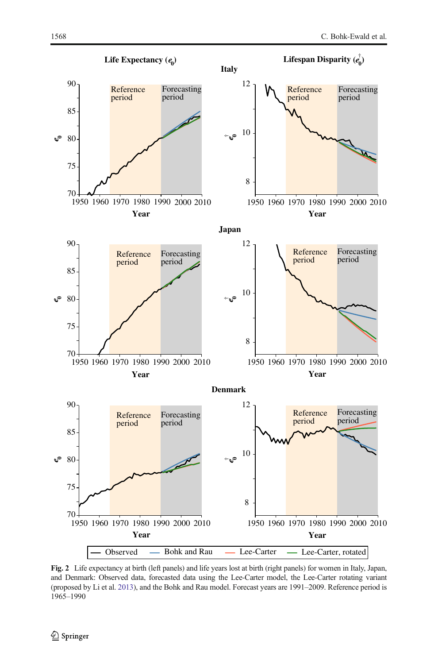<span id="page-9-0"></span>

Fig. 2 Life expectancy at birth (left panels) and life years lost at birth (right panels) for women in Italy, Japan, and Denmark: Observed data, forecasted data using the Lee-Carter model, the Lee-Carter rotating variant (proposed by Li et al. [2013\)](#page-17-0), and the Bohk and Rau model. Forecast years are 1991–2009. Reference period is 1965–1990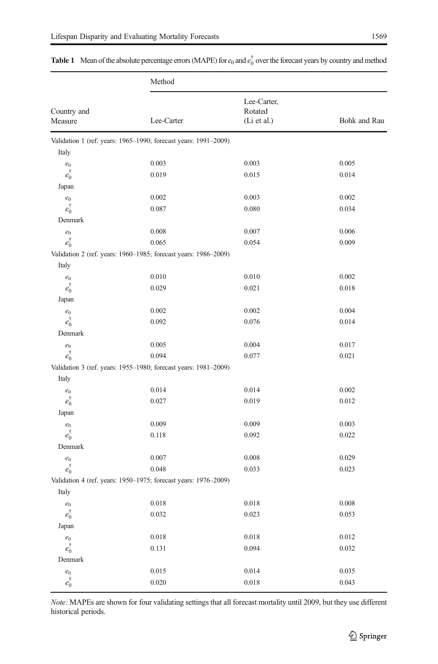|                        | Method                                                          |                                       |              |  |
|------------------------|-----------------------------------------------------------------|---------------------------------------|--------------|--|
| Country and<br>Measure | Lee-Carter                                                      | Lee-Carter,<br>Rotated<br>(Li et al.) | Bohk and Rau |  |
|                        | Validation 1 (ref. years: 1965-1990; forecast years: 1991-2009) |                                       |              |  |
| Italy                  |                                                                 |                                       |              |  |
| $e_0$                  | 0.003                                                           | 0.003                                 | 0.005        |  |
| $e_0^{\dagger}$        | 0.019                                                           | 0.015                                 | 0.014        |  |
| Japan                  |                                                                 |                                       |              |  |
| $e_0$                  | 0.002                                                           | 0.003                                 | 0.002        |  |
| $e_0^{\dagger}$        | 0.087                                                           | 0.080                                 | 0.034        |  |
| Denmark                |                                                                 |                                       |              |  |
| $\boldsymbol{e}_0$     | 0.008                                                           | 0.007                                 | 0.006        |  |
| $e_0^{\dagger}$        | 0.065                                                           | 0.054                                 | 0.009        |  |
|                        | Validation 2 (ref. years: 1960-1985; forecast years: 1986-2009) |                                       |              |  |
| Italy                  |                                                                 |                                       |              |  |
| $e_0$                  | 0.010                                                           | 0.010                                 | 0.002        |  |
| $e_0^{\dagger}$        | 0.029                                                           | 0.021                                 | 0.018        |  |
| Japan                  |                                                                 |                                       |              |  |
| $\mathfrak{e}_0$       | 0.002                                                           | 0.002                                 | 0.004        |  |
| $e_0^{\dagger}$        | 0.092                                                           | 0.076                                 | 0.014        |  |
| Denmark                |                                                                 |                                       |              |  |
| $\boldsymbol{e}_0$     | 0.005                                                           | 0.004                                 | 0.017        |  |
| $e_0^{\dagger}$        | 0.094                                                           | 0.077                                 | 0.021        |  |
|                        | Validation 3 (ref. years: 1955-1980; forecast years: 1981-2009) |                                       |              |  |
| Italy                  |                                                                 |                                       |              |  |
| $e_0$                  | 0.014                                                           | 0.014                                 | 0.002        |  |
| $e_0^{\dagger}$        | 0.027                                                           | 0.019                                 | 0.012        |  |
| Japan                  |                                                                 |                                       |              |  |
| $\mathfrak{e}_0$       | 0.009                                                           | 0.009                                 | 0.003        |  |
| $e_0^{\dagger}$        | 0.118                                                           | 0.092                                 | 0.022        |  |
| Denmark                |                                                                 |                                       |              |  |
| $e_0$                  | 0.007                                                           | 0.008                                 | 0.029        |  |
| $e_0^{\dagger}$        | 0.048                                                           | 0.033                                 | 0.023        |  |
|                        | Validation 4 (ref. years: 1950-1975; forecast years: 1976-2009) |                                       |              |  |
| Italy                  |                                                                 |                                       |              |  |
| $e_0$                  | 0.018                                                           | 0.018                                 | 0.008        |  |
| $e_0^{\dagger}$        | 0.032                                                           | 0.023                                 | 0.053        |  |
| Japan                  |                                                                 |                                       |              |  |
| $e_0$                  | 0.018                                                           | 0.018                                 | 0.012        |  |
| $e_0^{\dagger}$        | 0.131                                                           | 0.094                                 | 0.032        |  |
| Denmark                |                                                                 |                                       |              |  |
| $e_0$                  | 0.015                                                           | 0.014                                 | 0.035        |  |
| $e_0^{\dagger}$        | 0.020                                                           | 0.018                                 | 0.043        |  |
|                        |                                                                 |                                       |              |  |

<span id="page-10-0"></span>

Note: MAPEs are shown for four validating settings that all forecast mortality until 2009, but they use different historical periods.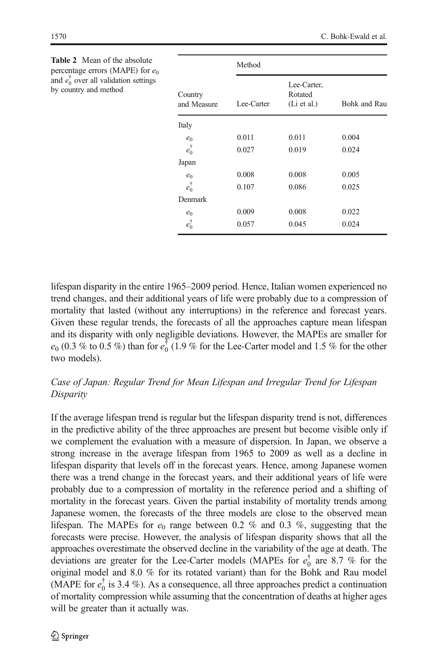<span id="page-11-0"></span>

|                        | Method     |                                       |              |
|------------------------|------------|---------------------------------------|--------------|
| Country<br>and Measure | Lee-Carter | Lee-Carter,<br>Rotated<br>(Li et al.) | Bohk and Rau |
| Italy                  |            |                                       |              |
| $e_0$                  | 0.011      | 0.011                                 | 0.004        |
| $e_0^{\dagger}$        | 0.027      | 0.019                                 | 0.024        |
| Japan                  |            |                                       |              |
| $e_0$                  | 0.008      | 0.008                                 | 0.005        |
| $e_0^{\dagger}$        | 0.107      | 0.086                                 | 0.025        |
| Denmark                |            |                                       |              |
| $e_0$                  | 0.009      | 0.008                                 | 0.022        |
| $e_0^{\dagger}$        | 0.057      | 0.045                                 | 0.024        |
|                        |            |                                       |              |

lifespan disparity in the entire 1965–2009 period. Hence, Italian women experienced no trend changes, and their additional years of life were probably due to a compression of mortality that lasted (without any interruptions) in the reference and forecast years. Given these regular trends, the forecasts of all the approaches capture mean lifespan and its disparity with only negligible deviations. However, the MAPEs are smaller for  $e_0$  (0.3 % to 0.5 %) than for  $e_0^{\dagger}$  (1.9 % for the Lee-Carter model and 1.5 % for the other two models).

# Case of Japan: Regular Trend for Mean Lifespan and Irregular Trend for Lifespan **Disparity**

If the average lifespan trend is regular but the lifespan disparity trend is not, differences in the predictive ability of the three approaches are present but become visible only if we complement the evaluation with a measure of dispersion. In Japan, we observe a strong increase in the average lifespan from 1965 to 2009 as well as a decline in lifespan disparity that levels off in the forecast years. Hence, among Japanese women there was a trend change in the forecast years, and their additional years of life were probably due to a compression of mortality in the reference period and a shifting of mortality in the forecast years. Given the partial instability of mortality trends among Japanese women, the forecasts of the three models are close to the observed mean lifespan. The MAPEs for  $e_0$  range between 0.2 % and 0.3 %, suggesting that the forecasts were precise. However, the analysis of lifespan disparity shows that all the approaches overestimate the observed decline in the variability of the age at death. The deviations are greater for the Lee-Carter models (MAPEs for  $e_0^{\dagger}$  are 8.7 % for the original model and 8.0 % for its rotated variant) than for the Bohk and Rau model (MAPE for  $e_0^{\dagger}$  is 3.4 %). As a consequence, all three approaches predict a continuation of mortality compression while assuming that the concentration of deaths at higher ages will be greater than it actually was.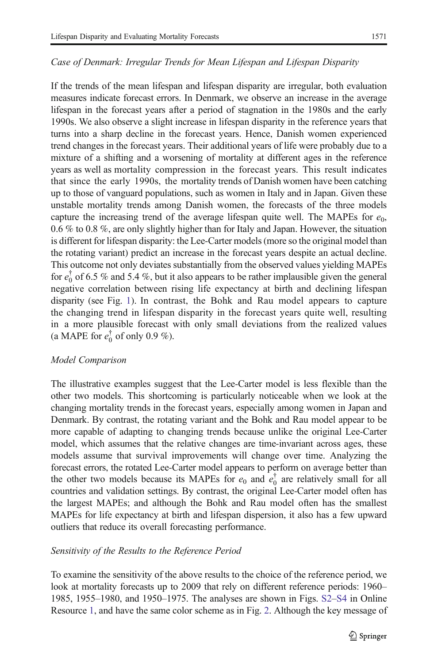#### Case of Denmark: Irregular Trends for Mean Lifespan and Lifespan Disparity

If the trends of the mean lifespan and lifespan disparity are irregular, both evaluation measures indicate forecast errors. In Denmark, we observe an increase in the average lifespan in the forecast years after a period of stagnation in the 1980s and the early 1990s. We also observe a slight increase in lifespan disparity in the reference years that turns into a sharp decline in the forecast years. Hence, Danish women experienced trend changes in the forecast years. Their additional years of life were probably due to a mixture of a shifting and a worsening of mortality at different ages in the reference years as well as mortality compression in the forecast years. This result indicates that since the early 1990s, the mortality trends of Danish women have been catching up to those of vanguard populations, such as women in Italy and in Japan. Given these unstable mortality trends among Danish women, the forecasts of the three models capture the increasing trend of the average lifespan quite well. The MAPEs for  $e_0$ , 0.6 % to 0.8 %, are only slightly higher than for Italy and Japan. However, the situation is different for lifespan disparity: the Lee-Carter models (more so the original model than the rotating variant) predict an increase in the forecast years despite an actual decline. This outcome not only deviates substantially from the observed values yielding MAPEs for  $e_0^{\dagger}$  of 6.5 % and 5.4 %, but it also appears to be rather implausible given the general negative correlation between rising life expectancy at birth and declining lifespan disparity (see Fig. [1\)](#page-2-0). In contrast, the Bohk and Rau model appears to capture the changing trend in lifespan disparity in the forecast years quite well, resulting in a more plausible forecast with only small deviations from the realized values (a MAPE for  $e_0^{\dagger}$  of only 0.9 %).

#### Model Comparison

The illustrative examples suggest that the Lee-Carter model is less flexible than the other two models. This shortcoming is particularly noticeable when we look at the changing mortality trends in the forecast years, especially among women in Japan and Denmark. By contrast, the rotating variant and the Bohk and Rau model appear to be more capable of adapting to changing trends because unlike the original Lee-Carter model, which assumes that the relative changes are time-invariant across ages, these models assume that survival improvements will change over time. Analyzing the forecast errors, the rotated Lee-Carter model appears to perform on average better than the other two models because its MAPEs for  $e_0$  and  $e_0^{\dagger}$  are relatively small for all countries and validation settings. By contrast, the original Lee-Carter model often has the largest MAPEs; and although the Bohk and Rau model often has the smallest MAPEs for life expectancy at birth and lifespan dispersion, it also has a few upward outliers that reduce its overall forecasting performance.

#### Sensitivity of the Results to the Reference Period

To examine the sensitivity of the above results to the choice of the reference period, we look at mortality forecasts up to 2009 that rely on different reference periods: 1960– 1985, 1955–1980, and 1950–1975. The analyses are shown in Figs. S2–S4 in Online Resource 1, and have the same color scheme as in Fig. [2](#page-9-0). Although the key message of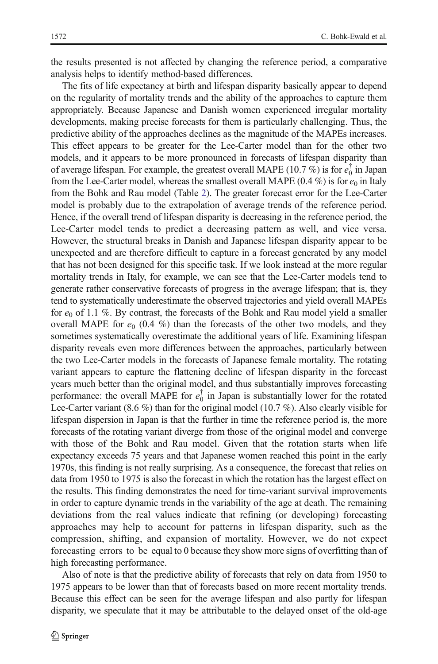the results presented is not affected by changing the reference period, a comparative analysis helps to identify method-based differences.

The fits of life expectancy at birth and lifespan disparity basically appear to depend on the regularity of mortality trends and the ability of the approaches to capture them appropriately. Because Japanese and Danish women experienced irregular mortality developments, making precise forecasts for them is particularly challenging. Thus, the predictive ability of the approaches declines as the magnitude of the MAPEs increases. This effect appears to be greater for the Lee-Carter model than for the other two models, and it appears to be more pronounced in forecasts of lifespan disparity than of average lifespan. For example, the greatest overall MAPE (10.7 %) is for  $e_0^{\dagger}$  in Japan from the Lee-Carter model, whereas the smallest overall MAPE (0.4 %) is for  $e_0$  in Italy from the Bohk and Rau model (Table [2\)](#page-11-0). The greater forecast error for the Lee-Carter model is probably due to the extrapolation of average trends of the reference period. Hence, if the overall trend of lifespan disparity is decreasing in the reference period, the Lee-Carter model tends to predict a decreasing pattern as well, and vice versa. However, the structural breaks in Danish and Japanese lifespan disparity appear to be unexpected and are therefore difficult to capture in a forecast generated by any model that has not been designed for this specific task. If we look instead at the more regular mortality trends in Italy, for example, we can see that the Lee-Carter models tend to generate rather conservative forecasts of progress in the average lifespan; that is, they tend to systematically underestimate the observed trajectories and yield overall MAPEs for  $e_0$  of 1.1 %. By contrast, the forecasts of the Bohk and Rau model yield a smaller overall MAPE for  $e_0$  (0.4 %) than the forecasts of the other two models, and they sometimes systematically overestimate the additional years of life. Examining lifespan disparity reveals even more differences between the approaches, particularly between the two Lee-Carter models in the forecasts of Japanese female mortality. The rotating variant appears to capture the flattening decline of lifespan disparity in the forecast years much better than the original model, and thus substantially improves forecasting performance: the overall MAPE for  $e_0^{\dagger}$  in Japan is substantially lower for the rotated Lee-Carter variant  $(8.6\%)$  than for the original model  $(10.7\%)$ . Also clearly visible for lifespan dispersion in Japan is that the further in time the reference period is, the more forecasts of the rotating variant diverge from those of the original model and converge with those of the Bohk and Rau model. Given that the rotation starts when life expectancy exceeds 75 years and that Japanese women reached this point in the early 1970s, this finding is not really surprising. As a consequence, the forecast that relies on data from 1950 to 1975 is also the forecast in which the rotation has the largest effect on the results. This finding demonstrates the need for time-variant survival improvements in order to capture dynamic trends in the variability of the age at death. The remaining deviations from the real values indicate that refining (or developing) forecasting approaches may help to account for patterns in lifespan disparity, such as the compression, shifting, and expansion of mortality. However, we do not expect forecasting errors to be equal to 0 because they show more signs of overfitting than of high forecasting performance.

Also of note is that the predictive ability of forecasts that rely on data from 1950 to 1975 appears to be lower than that of forecasts based on more recent mortality trends. Because this effect can be seen for the average lifespan and also partly for lifespan disparity, we speculate that it may be attributable to the delayed onset of the old-age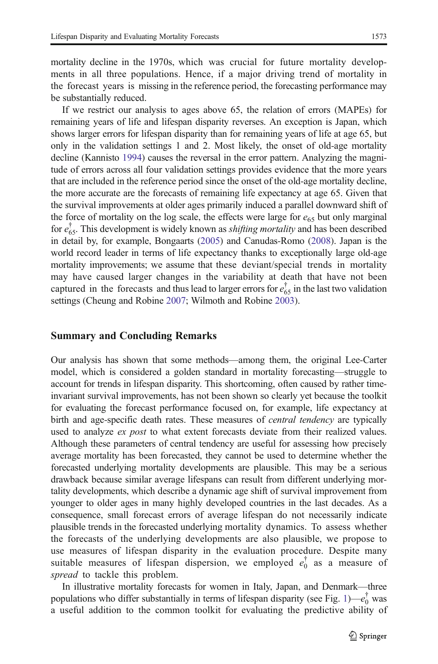mortality decline in the 1970s, which was crucial for future mortality developments in all three populations. Hence, if a major driving trend of mortality in the forecast years is missing in the reference period, the forecasting performance may be substantially reduced.

If we restrict our analysis to ages above 65, the relation of errors (MAPEs) for remaining years of life and lifespan disparity reverses. An exception is Japan, which shows larger errors for lifespan disparity than for remaining years of life at age 65, but only in the validation settings 1 and 2. Most likely, the onset of old-age mortality decline (Kannisto [1994](#page-17-0)) causes the reversal in the error pattern. Analyzing the magnitude of errors across all four validation settings provides evidence that the more years that are included in the reference period since the onset of the old-age mortality decline, the more accurate are the forecasts of remaining life expectancy at age 65. Given that the survival improvements at older ages primarily induced a parallel downward shift of the force of mortality on the log scale, the effects were large for  $e_{65}$  but only marginal for  $e_{65}^{\dagger}$ . This development is widely known as *shifting mortality* and has been described in detail by, for example, Bongaarts [\(2005\)](#page-16-0) and Canudas-Romo [\(2008\)](#page-16-0). Japan is the world record leader in terms of life expectancy thanks to exceptionally large old-age mortality improvements; we assume that these deviant/special trends in mortality may have caused larger changes in the variability at death that have not been captured in the forecasts and thus lead to larger errors for  $e_{65}^{\dagger}$  in the last two validation settings (Cheung and Robine [2007](#page-16-0); Wilmoth and Robine [2003\)](#page-18-0).

#### Summary and Concluding Remarks

Our analysis has shown that some methods—among them, the original Lee-Carter model, which is considered a golden standard in mortality forecasting—struggle to account for trends in lifespan disparity. This shortcoming, often caused by rather timeinvariant survival improvements, has not been shown so clearly yet because the toolkit for evaluating the forecast performance focused on, for example, life expectancy at birth and age-specific death rates. These measures of *central tendency* are typically used to analyze ex post to what extent forecasts deviate from their realized values. Although these parameters of central tendency are useful for assessing how precisely average mortality has been forecasted, they cannot be used to determine whether the forecasted underlying mortality developments are plausible. This may be a serious drawback because similar average lifespans can result from different underlying mortality developments, which describe a dynamic age shift of survival improvement from younger to older ages in many highly developed countries in the last decades. As a consequence, small forecast errors of average lifespan do not necessarily indicate plausible trends in the forecasted underlying mortality dynamics. To assess whether the forecasts of the underlying developments are also plausible, we propose to use measures of lifespan disparity in the evaluation procedure. Despite many suitable measures of lifespan dispersion, we employed  $e_0^{\dagger}$  as a measure of spread to tackle this problem.

In illustrative mortality forecasts for women in Italy, Japan, and Denmark—three populations who differ substantially in terms of lifespan disparity (see Fig. [1](#page-2-0))— $e_0^{\dagger}$  was a useful addition to the common toolkit for evaluating the predictive ability of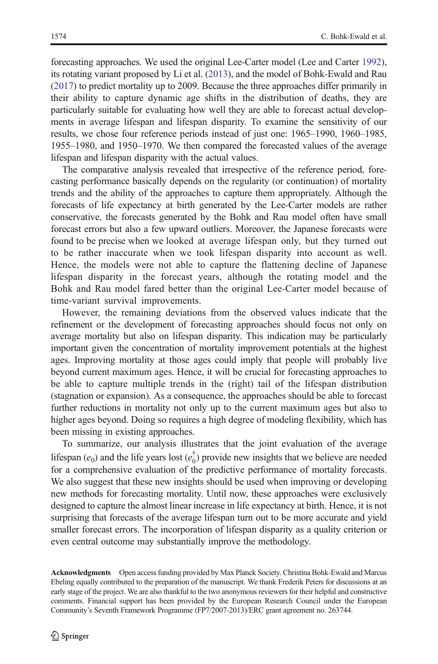forecasting approaches. We used the original Lee-Carter model (Lee and Carter [1992\)](#page-17-0), its rotating variant proposed by Li et al. [\(2013\)](#page-17-0), and the model of Bohk-Ewald and Rau [\(2017\)](#page-16-0) to predict mortality up to 2009. Because the three approaches differ primarily in their ability to capture dynamic age shifts in the distribution of deaths, they are particularly suitable for evaluating how well they are able to forecast actual developments in average lifespan and lifespan disparity. To examine the sensitivity of our results, we chose four reference periods instead of just one: 1965–1990, 1960–1985, 1955–1980, and 1950–1970. We then compared the forecasted values of the average lifespan and lifespan disparity with the actual values.

The comparative analysis revealed that irrespective of the reference period, forecasting performance basically depends on the regularity (or continuation) of mortality trends and the ability of the approaches to capture them appropriately. Although the forecasts of life expectancy at birth generated by the Lee-Carter models are rather conservative, the forecasts generated by the Bohk and Rau model often have small forecast errors but also a few upward outliers. Moreover, the Japanese forecasts were found to be precise when we looked at average lifespan only, but they turned out to be rather inaccurate when we took lifespan disparity into account as well. Hence, the models were not able to capture the flattening decline of Japanese lifespan disparity in the forecast years, although the rotating model and the Bohk and Rau model fared better than the original Lee-Carter model because of time-variant survival improvements.

However, the remaining deviations from the observed values indicate that the refinement or the development of forecasting approaches should focus not only on average mortality but also on lifespan disparity. This indication may be particularly important given the concentration of mortality improvement potentials at the highest ages. Improving mortality at those ages could imply that people will probably live beyond current maximum ages. Hence, it will be crucial for forecasting approaches to be able to capture multiple trends in the (right) tail of the lifespan distribution (stagnation or expansion). As a consequence, the approaches should be able to forecast further reductions in mortality not only up to the current maximum ages but also to higher ages beyond. Doing so requires a high degree of modeling flexibility, which has been missing in existing approaches.

To summarize, our analysis illustrates that the joint evaluation of the average lifespan  $(e_0)$  and the life years lost  $(e_0^{\dagger})$  provide new insights that we believe are needed for a comprehensive evaluation of the predictive performance of mortality forecasts. We also suggest that these new insights should be used when improving or developing new methods for forecasting mortality. Until now, these approaches were exclusively designed to capture the almost linear increase in life expectancy at birth. Hence, it is not surprising that forecasts of the average lifespan turn out to be more accurate and yield smaller forecast errors. The incorporation of lifespan disparity as a quality criterion or even central outcome may substantially improve the methodology.

Acknowledgments Open access funding provided by Max Planck Society. Christina Bohk-Ewald and Marcus Ebeling equally contributed to the preparation of the manuscript. We thank Frederik Peters for discussions at an early stage of the project. We are also thankful to the two anonymous reviewers for their helpful and constructive comments. Financial support has been provided by the European Research Council under the European Community's Seventh Framework Programme (FP7/2007-2013)/ERC grant agreement no. 263744.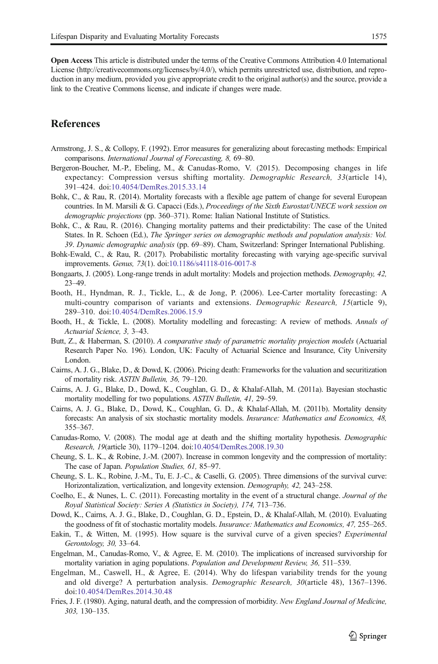<span id="page-16-0"></span>Open Access This article is distributed under the terms of the Creative Commons Attribution 4.0 International License (http://creativecommons.org/licenses/by/4.0/), which permits unrestricted use, distribution, and reproduction in any medium, provided you give appropriate credit to the original author(s) and the source, provide a link to the Creative Commons license, and indicate if changes were made.

### **References**

- Armstrong, J. S., & Collopy, F. (1992). Error measures for generalizing about forecasting methods: Empirical comparisons. International Journal of Forecasting, 8, 69–80.
- Bergeron-Boucher, M.-P., Ebeling, M., & Canudas-Romo, V. (2015). Decomposing changes in life expectancy: Compression versus shifting mortality. Demographic Research, 33(article 14), 391–424. doi:[10.4054/DemRes.2015.33.14](http://dx.doi.org/10.4054/DemRes.2015.33.14)
- Bohk, C., & Rau, R. (2014). Mortality forecasts with a flexible age pattern of change for several European countries. In M. Marsili & G. Capacci (Eds.), Proceedings of the Sixth Eurostat/UNECE work session on demographic projections (pp. 360–371). Rome: Italian National Institute of Statistics.
- Bohk, C., & Rau, R. (2016). Changing mortality patterns and their predictability: The case of the United States. In R. Schoen (Ed.), The Springer series on demographic methods and population analysis: Vol. 39. Dynamic demographic analysis (pp. 69–89). Cham, Switzerland: Springer International Publishing.
- Bohk-Ewald, C., & Rau, R. (2017). Probabilistic mortality forecasting with varying age-specific survival improvements. Genus, 73(1). doi:[10.1186/s41118-016-0017-8](http://dx.doi.org/10.1186/s41118-016-0017-8)
- Bongaarts, J. (2005). Long-range trends in adult mortality: Models and projection methods. Demography, 42, 23–49.
- Booth, H., Hyndman, R. J., Tickle, L., & de Jong, P. (2006). Lee-Carter mortality forecasting: A multi-country comparison of variants and extensions. Demographic Research, 15(article 9), 289–310. doi:[10.4054/DemRes.2006.15.9](http://dx.doi.org/10.4054/DemRes.2006.15.9)
- Booth, H., & Tickle, L. (2008). Mortality modelling and forecasting: A review of methods. Annals of Actuarial Science, 3, 3–43.
- Butt, Z., & Haberman, S. (2010). A comparative study of parametric mortality projection models (Actuarial Research Paper No. 196). London, UK: Faculty of Actuarial Science and Insurance, City University London.
- Cairns, A. J. G., Blake, D., & Dowd, K. (2006). Pricing death: Frameworks for the valuation and securitization of mortality risk. ASTIN Bulletin, 36, 79–120.
- Cairns, A. J. G., Blake, D., Dowd, K., Coughlan, G. D., & Khalaf-Allah, M. (2011a). Bayesian stochastic mortality modelling for two populations. ASTIN Bulletin, 41, 29–59.
- Cairns, A. J. G., Blake, D., Dowd, K., Coughlan, G. D., & Khalaf-Allah, M. (2011b). Mortality density forecasts: An analysis of six stochastic mortality models. Insurance: Mathematics and Economics, 48, 355–367.
- Canudas-Romo, V. (2008). The modal age at death and the shifting mortality hypothesis. Demographic Research, 19(article 30), 1179–1204. doi[:10.4054/DemRes.2008.19.30](http://dx.doi.org/10.4054/DemRes.2008.19.30)
- Cheung, S. L. K., & Robine, J.-M. (2007). Increase in common longevity and the compression of mortality: The case of Japan. Population Studies, 61, 85–97.
- Cheung, S. L. K., Robine, J.-M., Tu, E. J.-C., & Caselli, G. (2005). Three dimensions of the survival curve: Horizontalization, verticalization, and longevity extension. Demography, 42, 243–258.
- Coelho, E., & Nunes, L. C. (2011). Forecasting mortality in the event of a structural change. Journal of the Royal Statistical Society: Series A (Statistics in Society), 174, 713–736.
- Dowd, K., Cairns, A. J. G., Blake, D., Coughlan, G. D., Epstein, D., & Khalaf-Allah, M. (2010). Evaluating the goodness of fit of stochastic mortality models. Insurance: Mathematics and Economics, 47, 255–265.
- Eakin, T., & Witten, M. (1995). How square is the survival curve of a given species? Experimental Gerontology, 30, 33–64.
- Engelman, M., Canudas-Romo, V., & Agree, E. M. (2010). The implications of increased survivorship for mortality variation in aging populations. Population and Development Review, 36, 511–539.
- Engelman, M., Caswell, H., & Agree, E. (2014). Why do lifespan variability trends for the young and old diverge? A perturbation analysis. Demographic Research, 30(article 48), 1367–1396. doi:[10.4054/DemRes.2014.30.48](http://dx.doi.org/10.4054/DemRes.2014.30.48)
- Fries, J. F. (1980). Aging, natural death, and the compression of morbidity. New England Journal of Medicine, 303, 130–135.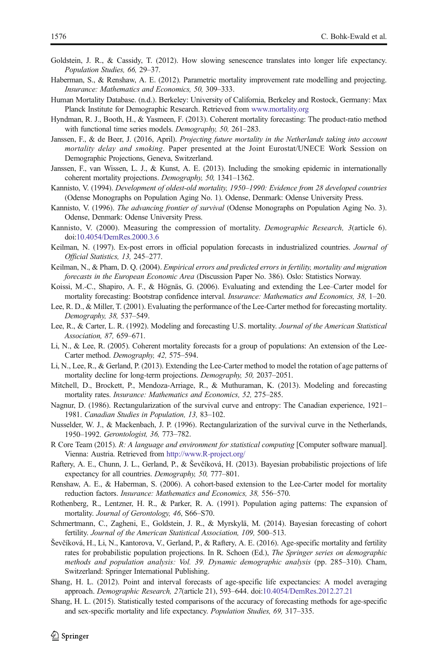- <span id="page-17-0"></span>Goldstein, J. R., & Cassidy, T. (2012). How slowing senescence translates into longer life expectancy. Population Studies, 66, 29–37.
- Haberman, S., & Renshaw, A. E. (2012). Parametric mortality improvement rate modelling and projecting. Insurance: Mathematics and Economics, 50, 309–333.
- Human Mortality Database. (n.d.). Berkeley: University of California, Berkeley and Rostock, Germany: Max Planck Institute for Demographic Research. Retrieved from [www.mortality.org](http://www.mortality.org/)
- Hyndman, R. J., Booth, H., & Yasmeen, F. (2013). Coherent mortality forecasting: The product-ratio method with functional time series models. Demography, 50, 261–283.
- Janssen, F., & de Beer, J. (2016, April). Projecting future mortality in the Netherlands taking into account mortality delay and smoking. Paper presented at the Joint Eurostat/UNECE Work Session on Demographic Projections, Geneva, Switzerland.
- Janssen, F., van Wissen, L. J., & Kunst, A. E. (2013). Including the smoking epidemic in internationally coherent mortality projections. Demography, 50, 1341–1362.
- Kannisto, V. (1994). Development of oldest-old mortality, 1950–1990: Evidence from 28 developed countries (Odense Monographs on Population Aging No. 1). Odense, Denmark: Odense University Press.
- Kannisto, V. (1996). The advancing frontier of survival (Odense Monographs on Population Aging No. 3). Odense, Denmark: Odense University Press.
- Kannisto, V. (2000). Measuring the compression of mortality. Demographic Research, 3(article 6). doi:[10.4054/DemRes.2000.3.6](http://dx.doi.org/10.4054/DemRes.2000.3.6)
- Keilman, N. (1997). Ex-post errors in official population forecasts in industrialized countries. Journal of Official Statistics, 13, 245–277.
- Keilman, N., & Pham, D. Q. (2004). Empirical errors and predicted errors in fertility, mortality and migration forecasts in the European Economic Area (Discussion Paper No. 386). Oslo: Statistics Norway.
- Koissi, M.-C., Shapiro, A. F., & Högnäs, G. (2006). Evaluating and extending the Lee–Carter model for mortality forecasting: Bootstrap confidence interval. Insurance: Mathematics and Economics, 38, 1–20.
- Lee, R. D., & Miller, T. (2001). Evaluating the performance of the Lee-Carter method for forecasting mortality. Demography, 38, 537–549.
- Lee, R., & Carter, L. R. (1992). Modeling and forecasting U.S. mortality. Journal of the American Statistical Association, 87, 659–671.
- Li, N., & Lee, R. (2005). Coherent mortality forecasts for a group of populations: An extension of the Lee-Carter method. Demography, 42, 575–594.
- Li, N., Lee, R., & Gerland, P. (2013). Extending the Lee-Carter method to model the rotation of age patterns of mortality decline for long-term projections. Demography, 50, 2037–2051.
- Mitchell, D., Brockett, P., Mendoza-Arriage, R., & Muthuraman, K. (2013). Modeling and forecasting mortality rates. Insurance: Mathematics and Economics, 52, 275–285.
- Nagnur, D. (1986). Rectangularization of the survival curve and entropy: The Canadian experience, 1921– 1981. Canadian Studies in Population, 13, 83–102.
- Nusselder, W. J., & Mackenbach, J. P. (1996). Rectangularization of the survival curve in the Netherlands, 1950–1992. Gerontologist, 36, 773–782.
- R Core Team (2015). R: A language and environment for statistical computing [Computer software manual]. Vienna: Austria. Retrieved from [http://www.R-project.org/](http://www.r-project.org/)
- Raftery, A. E., Chunn, J. L., Gerland, P., & Ševčíková, H. (2013). Bayesian probabilistic projections of life expectancy for all countries. Demography, 50, 777–801.
- Renshaw, A. E., & Haberman, S. (2006). A cohort-based extension to the Lee-Carter model for mortality reduction factors. Insurance: Mathematics and Economics, 38, 556–570.
- Rothenberg, R., Lentzner, H. R., & Parker, R. A. (1991). Population aging patterns: The expansion of mortality. Journal of Gerontology, 46, S66–S70.
- Schmertmann, C., Zagheni, E., Goldstein, J. R., & Myrskylä, M. (2014). Bayesian forecasting of cohort fertility. Journal of the American Statistical Association, 109, 500–513.
- Ševčíková, H., Li, N., Kantorova, V., Gerland, P., & Raftery, A. E. (2016). Age-specific mortality and fertility rates for probabilistic population projections. In R. Schoen (Ed.), The Springer series on demographic methods and population analysis: Vol. 39. Dynamic demographic analysis (pp. 285–310). Cham, Switzerland: Springer International Publishing.
- Shang, H. L. (2012). Point and interval forecasts of age-specific life expectancies: A model averaging approach. Demographic Research, 27(article 21), 593–644. doi:[10.4054/DemRes.2012.27.21](http://dx.doi.org/10.4054/DemRes.2012.27.21)
- Shang, H. L. (2015). Statistically tested comparisons of the accuracy of forecasting methods for age-specific and sex-specific mortality and life expectancy. Population Studies, 69, 317–335.